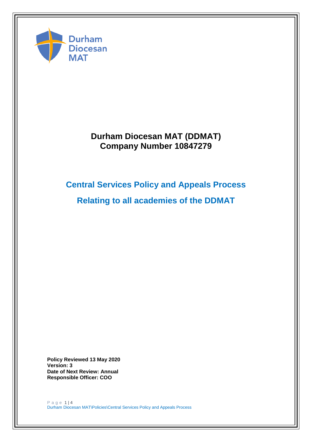

# **Durham Diocesan MAT (DDMAT) Company Number 10847279**

# **Central Services Policy and Appeals Process**

**Relating to all academies of the DDMAT**

**Policy Reviewed 13 May 2020 Version: 3 Date of Next Review: Annual Responsible Officer: COO**

P a g e 1 | 4 Durham Diocesan MAT\Policies\Central Services Policy and Appeals Process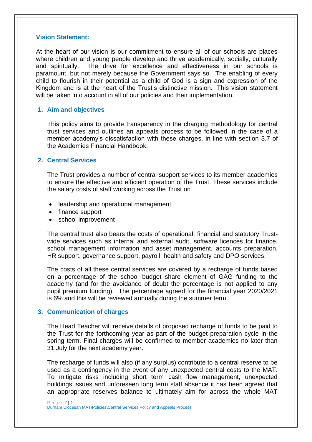#### **Vision Statement:**

At the heart of our vision is our commitment to ensure all of our schools are places where children and young people develop and thrive academically, socially, culturally and spiritually. The drive for excellence and effectiveness in our schools is paramount, but not merely because the Government says so. The enabling of every child to flourish in their potential as a child of God is a sign and expression of the Kingdom and is at the heart of the Trust's distinctive mission. This vision statement will be taken into account in all of our policies and their implementation.

#### **1. Aim and objectives**

This policy aims to provide transparency in the charging methodology for central trust services and outlines an appeals process to be followed in the case of a member academy's dissatisfaction with these charges, in line with section 3.7 of the Academies Financial Handbook.

#### **2. Central Services**

The Trust provides a number of central support services to its member academies to ensure the effective and efficient operation of the Trust. These services include the salary costs of staff working across the Trust on

- leadership and operational management
- finance support
- school improvement

The central trust also bears the costs of operational, financial and statutory Trustwide services such as internal and external audit, software licences for finance, school management information and asset management, accounts preparation, HR support, governance support, payroll, health and safety and DPO services.

The costs of all these central services are covered by a recharge of funds based on a percentage of the school budget share element of GAG funding to the academy (and for the avoidance of doubt the percentage is not applied to any pupil premium funding). The percentage agreed for the financial year 2020/2021 is 6% and this will be reviewed annually during the summer term.

#### **3. Communication of charges**

The Head Teacher will receive details of proposed recharge of funds to be paid to the Trust for the forthcoming year as part of the budget preparation cycle in the spring term. Final charges will be confirmed to member academies no later than 31 July for the next academy year.

The recharge of funds will also (if any surplus) contribute to a central reserve to be used as a contingency in the event of any unexpected central costs to the MAT. To mitigate risks including short term cash flow management, unexpected buildings issues and unforeseen long term staff absence it has been agreed that an appropriate reserves balance to ultimately aim for across the whole MAT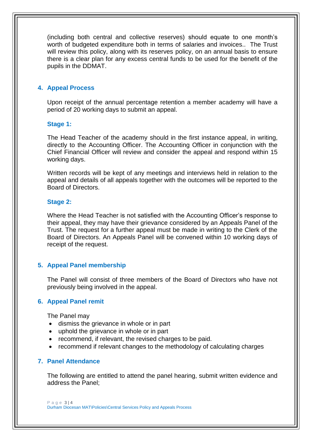(including both central and collective reserves) should equate to one month's worth of budgeted expenditure both in terms of salaries and invoices.. The Trust will review this policy, along with its reserves policy, on an annual basis to ensure there is a clear plan for any excess central funds to be used for the benefit of the pupils in the DDMAT.

# **4. Appeal Process**

Upon receipt of the annual percentage retention a member academy will have a period of 20 working days to submit an appeal.

## **Stage 1:**

The Head Teacher of the academy should in the first instance appeal, in writing, directly to the Accounting Officer. The Accounting Officer in conjunction with the Chief Financial Officer will review and consider the appeal and respond within 15 working days.

Written records will be kept of any meetings and interviews held in relation to the appeal and details of all appeals together with the outcomes will be reported to the Board of Directors.

## **Stage 2:**

Where the Head Teacher is not satisfied with the Accounting Officer's response to their appeal, they may have their grievance considered by an Appeals Panel of the Trust. The request for a further appeal must be made in writing to the Clerk of the Board of Directors. An Appeals Panel will be convened within 10 working days of receipt of the request.

# **5. Appeal Panel membership**

The Panel will consist of three members of the Board of Directors who have not previously being involved in the appeal.

#### **6. Appeal Panel remit**

The Panel may

- dismiss the grievance in whole or in part
- uphold the grievance in whole or in part
- recommend, if relevant, the revised charges to be paid.
- recommend if relevant changes to the methodology of calculating charges

# **7. Panel Attendance**

The following are entitled to attend the panel hearing, submit written evidence and address the Panel;